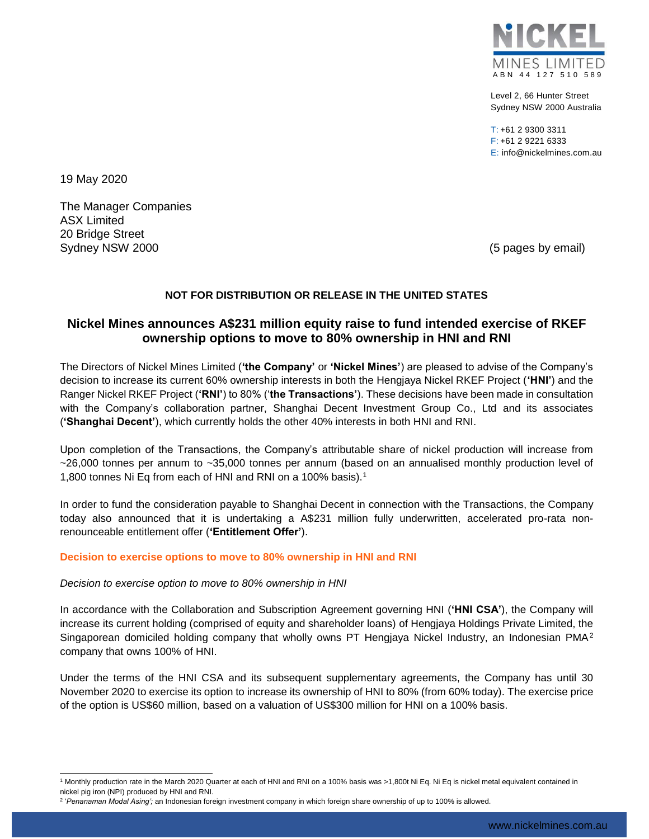

Level 2, 66 Hunter Street Sydney NSW 2000 Australia

 $T: +61$  2 9300 3311 F: +61 2 9221 6333 E: info@nickelmines.com.au

19 May 2020

l

The Manager Companies ASX Limited 20 Bridge Street Sydney NSW 2000 **(5 pages by email)** Sydney NSW 2000

# **NOT FOR DISTRIBUTION OR RELEASE IN THE UNITED STATES**

# **Nickel Mines announces A\$231 million equity raise to fund intended exercise of RKEF ownership options to move to 80% ownership in HNI and RNI**

The Directors of Nickel Mines Limited (**'the Company'** or **'Nickel Mines'**) are pleased to advise of the Company's decision to increase its current 60% ownership interests in both the Hengjaya Nickel RKEF Project (**'HNI'**) and the Ranger Nickel RKEF Project (**'RNI'**) to 80% ('**the Transactions'**). These decisions have been made in consultation with the Company's collaboration partner, Shanghai Decent Investment Group Co., Ltd and its associates (**'Shanghai Decent'**), which currently holds the other 40% interests in both HNI and RNI.

Upon completion of the Transactions, the Company's attributable share of nickel production will increase from ~26,000 tonnes per annum to ~35,000 tonnes per annum (based on an annualised monthly production level of 1,800 tonnes Ni Eq from each of HNI and RNI on a 100% basis).<sup>1</sup>

In order to fund the consideration payable to Shanghai Decent in connection with the Transactions, the Company today also announced that it is undertaking a A\$231 million fully underwritten, accelerated pro-rata nonrenounceable entitlement offer (**'Entitlement Offer'**).

### **Decision to exercise options to move to 80% ownership in HNI and RNI**

#### *Decision to exercise option to move to 80% ownership in HNI*

In accordance with the Collaboration and Subscription Agreement governing HNI (**'HNI CSA'**), the Company will increase its current holding (comprised of equity and shareholder loans) of Hengjaya Holdings Private Limited, the Singaporean domiciled holding company that wholly owns PT Hengjaya Nickel Industry, an Indonesian PMA<sup>2</sup> company that owns 100% of HNI.

Under the terms of the HNI CSA and its subsequent supplementary agreements, the Company has until 30 November 2020 to exercise its option to increase its ownership of HNI to 80% (from 60% today). The exercise price of the option is US\$60 million, based on a valuation of US\$300 million for HNI on a 100% basis.

<sup>1</sup> Monthly production rate in the March 2020 Quarter at each of HNI and RNI on a 100% basis was >1,800t Ni Eq. Ni Eq is nickel metal equivalent contained in nickel pig iron (NPI) produced by HNI and RNI.

<sup>2</sup> '*Penanaman Modal Asing';* an Indonesian foreign investment company in which foreign share ownership of up to 100% is allowed.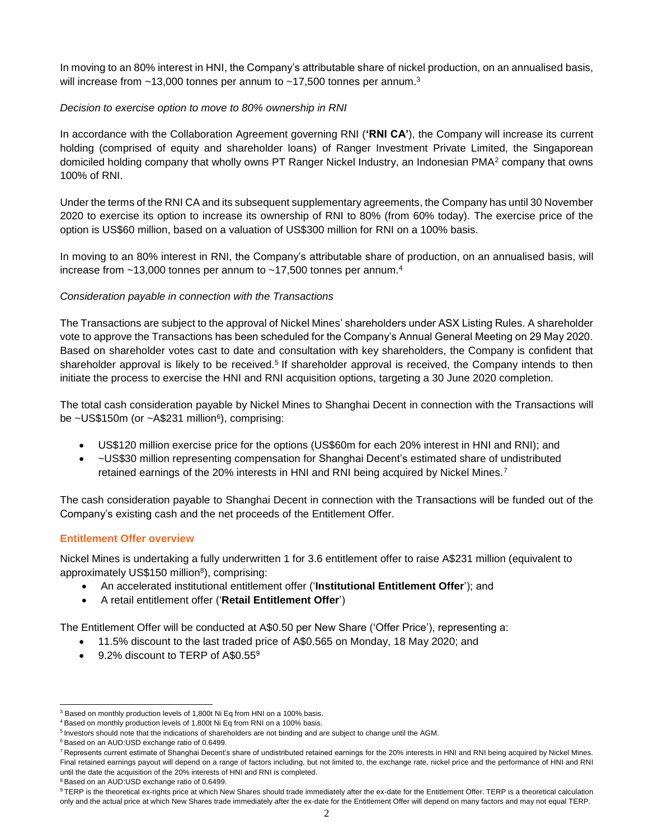In moving to an 80% interest in HNI, the Company's attributable share of nickel production, on an annualised basis, will increase from  $\sim$ 13,000 tonnes per annum to  $\sim$ 17,500 tonnes per annum.<sup>3</sup>

# *Decision to exercise option to move to 80% ownership in RNI*

In accordance with the Collaboration Agreement governing RNI (**'RNI CA'**), the Company will increase its current holding (comprised of equity and shareholder loans) of Ranger Investment Private Limited, the Singaporean domiciled holding company that wholly owns PT Ranger Nickel Industry, an Indonesian PMA<sup>2</sup> company that owns 100% of RNI.

Under the terms of the RNI CA and its subsequent supplementary agreements, the Company has until 30 November 2020 to exercise its option to increase its ownership of RNI to 80% (from 60% today). The exercise price of the option is US\$60 million, based on a valuation of US\$300 million for RNI on a 100% basis.

In moving to an 80% interest in RNI, the Company's attributable share of production, on an annualised basis, will increase from  $~13,000$  tonnes per annum to  $~17,500$  tonnes per annum.<sup>4</sup>

# *Consideration payable in connection with the Transactions*

The Transactions are subject to the approval of Nickel Mines' shareholders under ASX Listing Rules. A shareholder vote to approve the Transactions has been scheduled for the Company's Annual General Meeting on 29 May 2020. Based on shareholder votes cast to date and consultation with key shareholders, the Company is confident that shareholder approval is likely to be received.<sup>5</sup> If shareholder approval is received, the Company intends to then initiate the process to exercise the HNI and RNI acquisition options, targeting a 30 June 2020 completion.

The total cash consideration payable by Nickel Mines to Shanghai Decent in connection with the Transactions will be ~US\$150m (or ~A\$231 million<sup>6</sup>), comprising:

- US\$120 million exercise price for the options (US\$60m for each 20% interest in HNI and RNI); and
- ~US\$30 million representing compensation for Shanghai Decent's estimated share of undistributed retained earnings of the 20% interests in HNI and RNI being acquired by Nickel Mines.<sup>7</sup>

The cash consideration payable to Shanghai Decent in connection with the Transactions will be funded out of the Company's existing cash and the net proceeds of the Entitlement Offer.

# **Entitlement Offer overview**

Nickel Mines is undertaking a fully underwritten 1 for 3.6 entitlement offer to raise A\$231 million (equivalent to approximately US\$150 million<sup>8</sup>), comprising:

- An accelerated institutional entitlement offer ('**Institutional Entitlement Offer**'); and
- A retail entitlement offer ('**Retail Entitlement Offer**')

The Entitlement Offer will be conducted at A\$0.50 per New Share ('Offer Price'), representing a:

- 11.5% discount to the last traded price of A\$0.565 on Monday, 18 May 2020; and
- 9.2% discount to TERP of A\$0.55<sup>9</sup>

<sup>6</sup> Based on an AUD:USD exchange ratio of 0.6499.

l <sup>3</sup> Based on monthly production levels of 1,800t Ni Eq from HNI on a 100% basis.

<sup>4</sup> Based on monthly production levels of 1,800t Ni Eq from RNI on a 100% basis.

<sup>&</sup>lt;sup>5</sup> Investors should note that the indications of shareholders are not binding and are subject to change until the AGM.

<sup>&</sup>lt;sup>7</sup> Represents current estimate of Shanghai Decent's share of undistributed retained earnings for the 20% interests in HNI and RNI being acquired by Nickel Mines. Final retained earnings payout will depend on a range of factors including, but not limited to, the exchange rate, nickel price and the performance of HNI and RNI until the date the acquisition of the 20% interests of HNI and RNI is completed.

<sup>8</sup> Based on an AUD:USD exchange ratio of 0.6499.

<sup>9</sup> TERP is the theoretical ex-rights price at which New Shares should trade immediately after the ex-date for the Entitlement Offer. TERP is a theoretical calculation only and the actual price at which New Shares trade immediately after the ex-date for the Entitlement Offer will depend on many factors and may not equal TERP.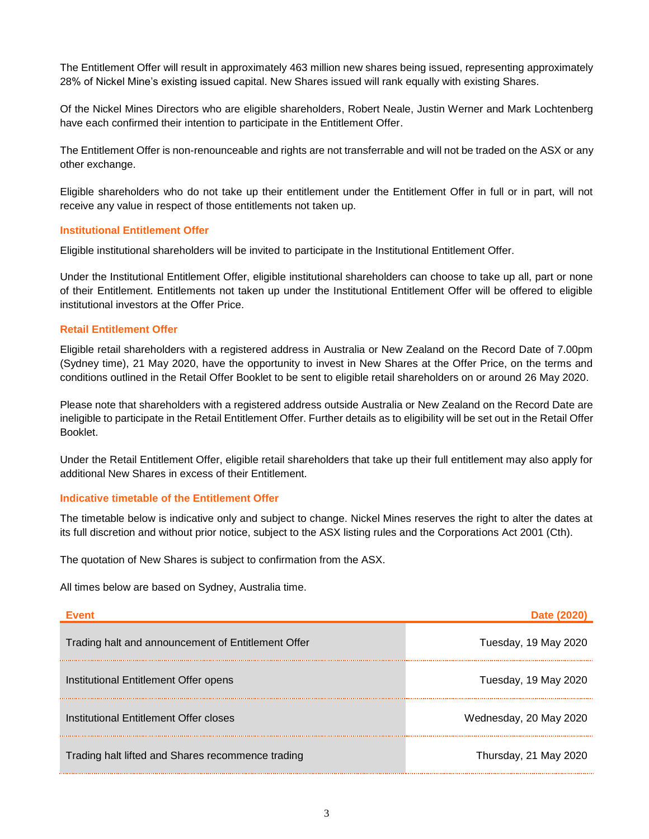The Entitlement Offer will result in approximately 463 million new shares being issued, representing approximately 28% of Nickel Mine's existing issued capital. New Shares issued will rank equally with existing Shares.

Of the Nickel Mines Directors who are eligible shareholders, Robert Neale, Justin Werner and Mark Lochtenberg have each confirmed their intention to participate in the Entitlement Offer.

The Entitlement Offer is non-renounceable and rights are not transferrable and will not be traded on the ASX or any other exchange.

Eligible shareholders who do not take up their entitlement under the Entitlement Offer in full or in part, will not receive any value in respect of those entitlements not taken up.

### **Institutional Entitlement Offer**

Eligible institutional shareholders will be invited to participate in the Institutional Entitlement Offer.

Under the Institutional Entitlement Offer, eligible institutional shareholders can choose to take up all, part or none of their Entitlement. Entitlements not taken up under the Institutional Entitlement Offer will be offered to eligible institutional investors at the Offer Price.

### **Retail Entitlement Offer**

Eligible retail shareholders with a registered address in Australia or New Zealand on the Record Date of 7.00pm (Sydney time), 21 May 2020, have the opportunity to invest in New Shares at the Offer Price, on the terms and conditions outlined in the Retail Offer Booklet to be sent to eligible retail shareholders on or around 26 May 2020.

Please note that shareholders with a registered address outside Australia or New Zealand on the Record Date are ineligible to participate in the Retail Entitlement Offer. Further details as to eligibility will be set out in the Retail Offer Booklet.

Under the Retail Entitlement Offer, eligible retail shareholders that take up their full entitlement may also apply for additional New Shares in excess of their Entitlement.

### **Indicative timetable of the Entitlement Offer**

The timetable below is indicative only and subject to change. Nickel Mines reserves the right to alter the dates at its full discretion and without prior notice, subject to the ASX listing rules and the Corporations Act 2001 (Cth).

The quotation of New Shares is subject to confirmation from the ASX.

All times below are based on Sydney, Australia time.

| <b>Event</b>                                       | Date (2020)            |
|----------------------------------------------------|------------------------|
| Trading halt and announcement of Entitlement Offer | Tuesday, 19 May 2020   |
| Institutional Entitlement Offer opens              | Tuesday, 19 May 2020   |
| Institutional Entitlement Offer closes             | Wednesday, 20 May 2020 |
| Trading halt lifted and Shares recommence trading  | Thursday, 21 May 2020  |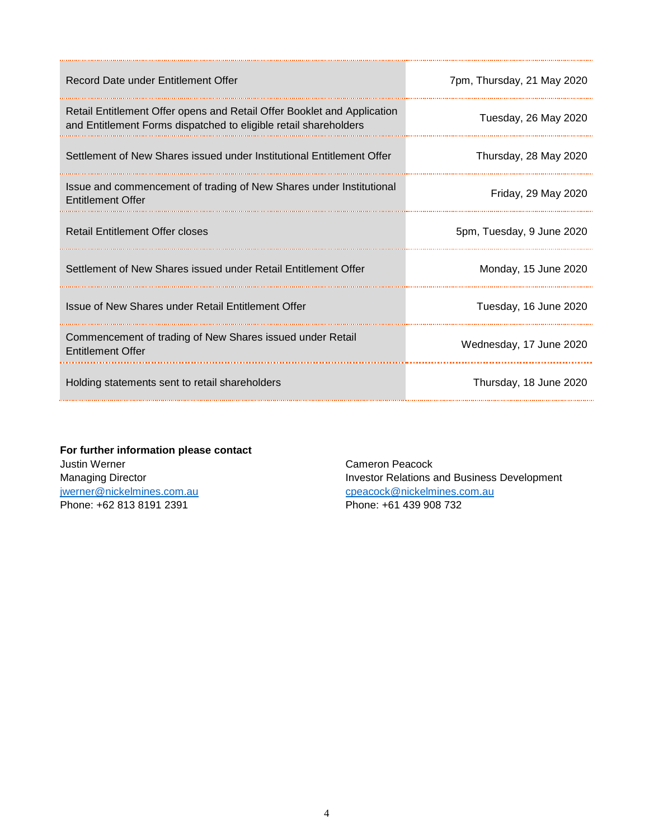| Record Date under Entitlement Offer                                                                                                         | 7pm, Thursday, 21 May 2020 |
|---------------------------------------------------------------------------------------------------------------------------------------------|----------------------------|
| Retail Entitlement Offer opens and Retail Offer Booklet and Application<br>and Entitlement Forms dispatched to eligible retail shareholders | Tuesday, 26 May 2020       |
| Settlement of New Shares issued under Institutional Entitlement Offer                                                                       | Thursday, 28 May 2020      |
| Issue and commencement of trading of New Shares under Institutional<br><b>Entitlement Offer</b>                                             | Friday, 29 May 2020        |
| <b>Retail Entitlement Offer closes</b>                                                                                                      | 5pm, Tuesday, 9 June 2020  |
| Settlement of New Shares issued under Retail Entitlement Offer                                                                              | Monday, 15 June 2020       |
| Issue of New Shares under Retail Entitlement Offer                                                                                          | Tuesday, 16 June 2020      |
| Commencement of trading of New Shares issued under Retail<br><b>Entitlement Offer</b>                                                       | Wednesday, 17 June 2020    |
| Holding statements sent to retail shareholders                                                                                              | Thursday, 18 June 2020     |

**For further information please contact** Justin Werner Managing Director [jwerner@nickelmines.com.au](mailto:jwerner@nickelmines.com.au) Phone: +62 813 8191 2391

Cameron Peacock Investor Relations and Business Development [cpeacock@nickelmines.com.au](mailto:cpeacock@nickelmines.com.au) Phone: +61 439 908 732